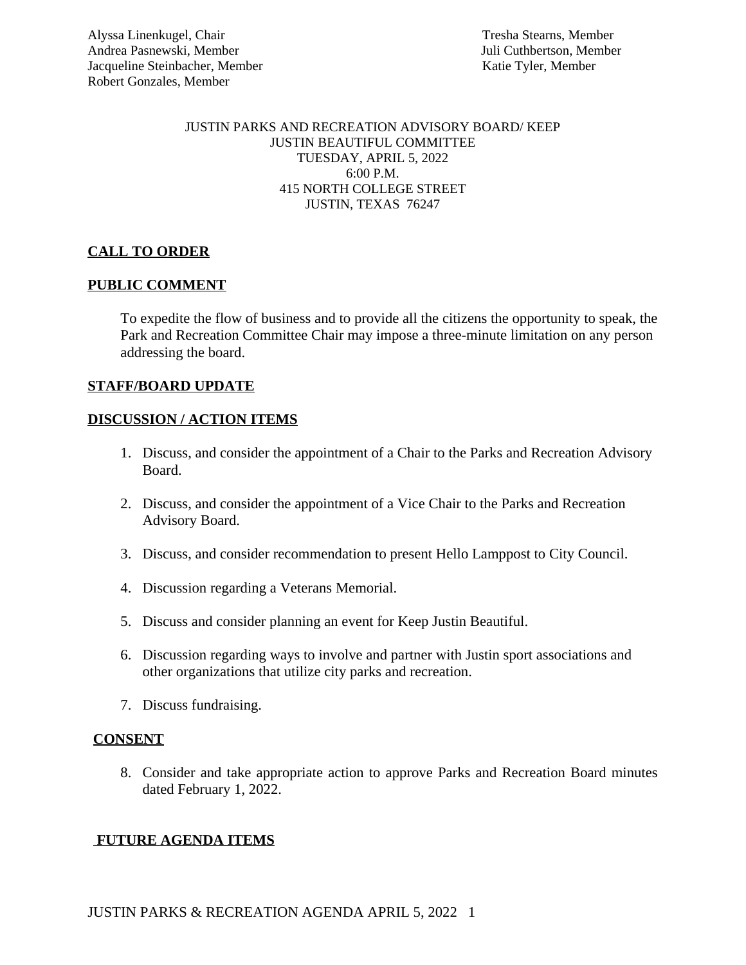#### JUSTIN PARKS AND RECREATION ADVISORY BOARD/ KEEP JUSTIN BEAUTIFUL COMMITTEE TUESDAY, APRIL 5, 2022 6:00 P.M. 415 NORTH COLLEGE STREET JUSTIN, TEXAS 76247

# **CALL TO ORDER**

#### **PUBLIC COMMENT**

To expedite the flow of business and to provide all the citizens the opportunity to speak, the Park and Recreation Committee Chair may impose a three-minute limitation on any person addressing the board.

## **STAFF/BOARD UPDATE**

## **DISCUSSION / ACTION ITEMS**

- 1. Discuss, and consider the appointment of a Chair to the Parks and Recreation Advisory Board.
- 2. Discuss, and consider the appointment of a Vice Chair to the Parks and Recreation Advisory Board.
- 3. Discuss, and consider recommendation to present Hello Lamppost to City Council.
- 4. Discussion regarding a Veterans Memorial.
- 5. Discuss and consider planning an event for Keep Justin Beautiful.
- 6. Discussion regarding ways to involve and partner with Justin sport associations and other organizations that utilize city parks and recreation.
- 7. Discuss fundraising.

#### **CONSENT**

8. Consider and take appropriate action to approve Parks and Recreation Board minutes dated February 1, 2022.

# **FUTURE AGENDA ITEMS**

JUSTIN PARKS & RECREATION AGENDA APRIL 5, 2022 1